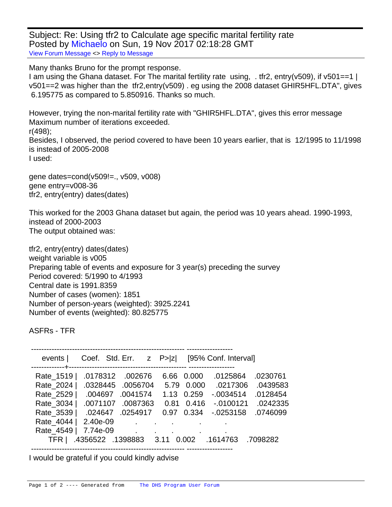Subject: Re: Using tfr2 to Calculate age specific marital fertility rate Posted by [Michaelo](https://userforum.dhsprogram.com/index.php?t=usrinfo&id=5036) on Sun, 19 Nov 2017 02:18:28 GMT [View Forum Message](https://userforum.dhsprogram.com/index.php?t=rview&th=6540&goto=13561#msg_13561) <> [Reply to Message](https://userforum.dhsprogram.com/index.php?t=post&reply_to=13561)

Many thanks Bruno for the prompt response.

I am using the Ghana dataset. For The marital fertility rate using, . tfr2, entry(v509), if v501==1 | v501==2 was higher than the tfr2,entry(v509) . eg using the 2008 dataset GHIR5HFL.DTA", gives 6.195775 as compared to 5.850916. Thanks so much.

However, trying the non-marital fertility rate with "GHIR5HFL.DTA", gives this error message Maximum number of iterations exceeded. r(498); Besides, I observed, the period covered to have been 10 years earlier, that is 12/1995 to 11/1998 is instead of 2005-2008 I used:

gene dates=cond(v509!=., v509, v008) gene entry=v008-36 tfr2, entry(entry) dates(dates)

This worked for the 2003 Ghana dataset but again, the period was 10 years ahead. 1990-1993, instead of 2000-2003 The output obtained was:

tfr2, entry(entry) dates(dates) weight variable is v005 Preparing table of events and exposure for 3 year(s) preceding the survey Period covered: 5/1990 to 4/1993 Central date is 1991.8359 Number of cases (women): 1851 Number of person-years (weighted): 3925.2241 Number of events (weighted): 80.825775

ASFRs - TFR

| events                                                                                                                           |                                                         |                                                                                        |                                                              |                                                                 | Coef. Std. Err. z P> z  [95% Conf. Interval]                                     |                                                                      |
|----------------------------------------------------------------------------------------------------------------------------------|---------------------------------------------------------|----------------------------------------------------------------------------------------|--------------------------------------------------------------|-----------------------------------------------------------------|----------------------------------------------------------------------------------|----------------------------------------------------------------------|
| ------------+-<br>Rate_1519  <br>Rate_2024  <br>Rate_2529  <br>Rate 3034  <br>Rate 3539  <br>Rate_4044  <br>Rate 4549  <br>TFR I | .0178312<br>.004697<br>.0071107<br>2.40e-09<br>7.74e-09 | .002676<br>.0328445.0056704<br>.0041574<br>.0087363<br>.024647.0254917<br>$\mathbf{r}$ | 0.97<br><b>All Contracts</b><br>.4356522 .1398883 3.11 0.002 | 6.66 0.000<br>5.79 0.000<br>1.13 0.259<br>$0.81$ 0.416<br>0.334 | .0125864<br>.0217306<br>$-0.0034514$<br>$-0.0100121$<br>$-0.0253158$<br>.1614763 | .0230761<br>.0439583<br>.0128454<br>.0242335<br>.0746099<br>.7098282 |
|                                                                                                                                  |                                                         |                                                                                        |                                                              |                                                                 |                                                                                  |                                                                      |

I would be grateful if you could kindly advise